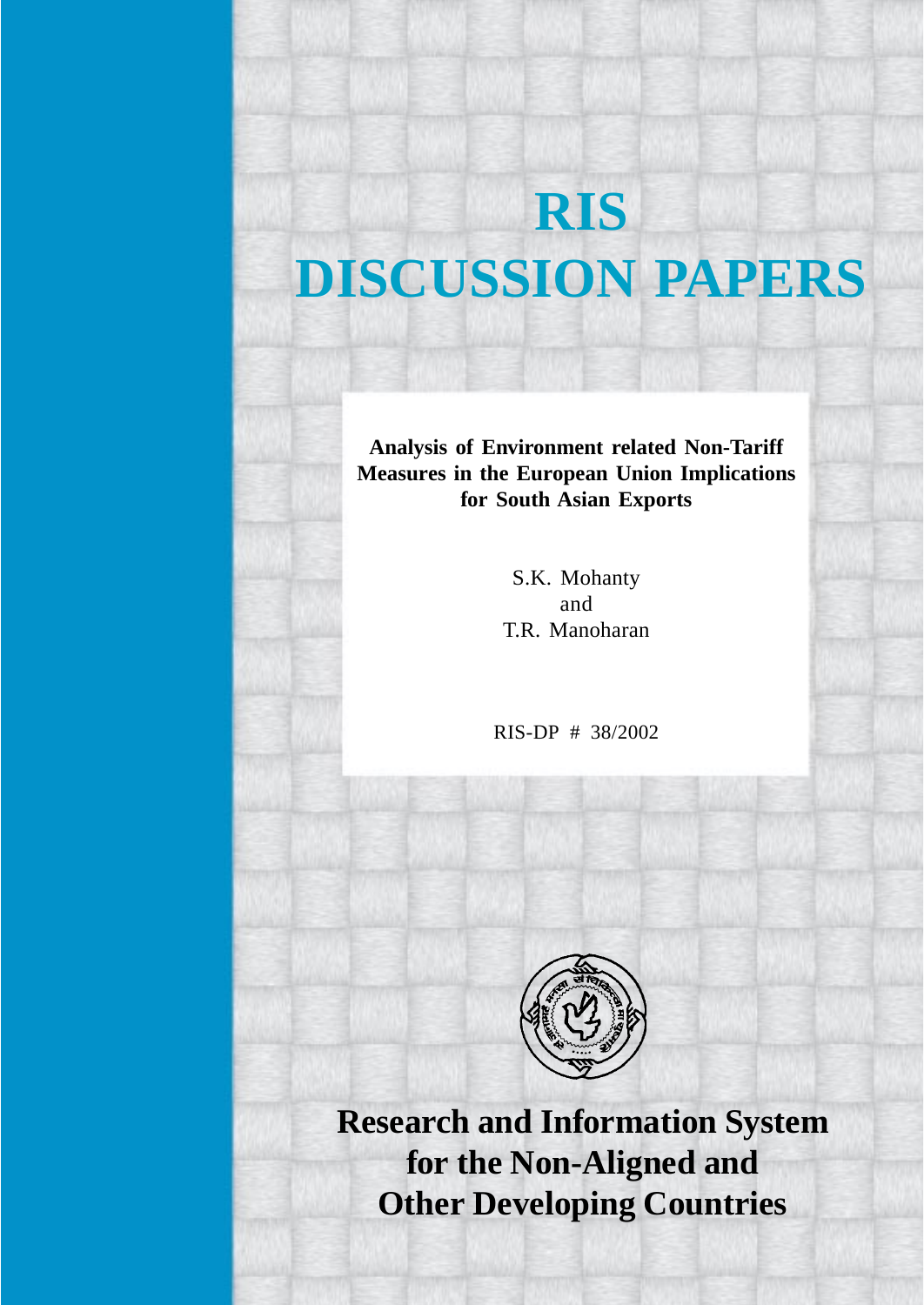# **RIS DISCUSSION PAPERS**

**Analysis of Environment related Non-Tariff Measures in the European Union Implications for South Asian Exports**

> S.K. Mohanty and T.R. Manoharan

RIS-DP # 38/2002



**Research and Information System for the Non-Aligned and Other Developing Countries**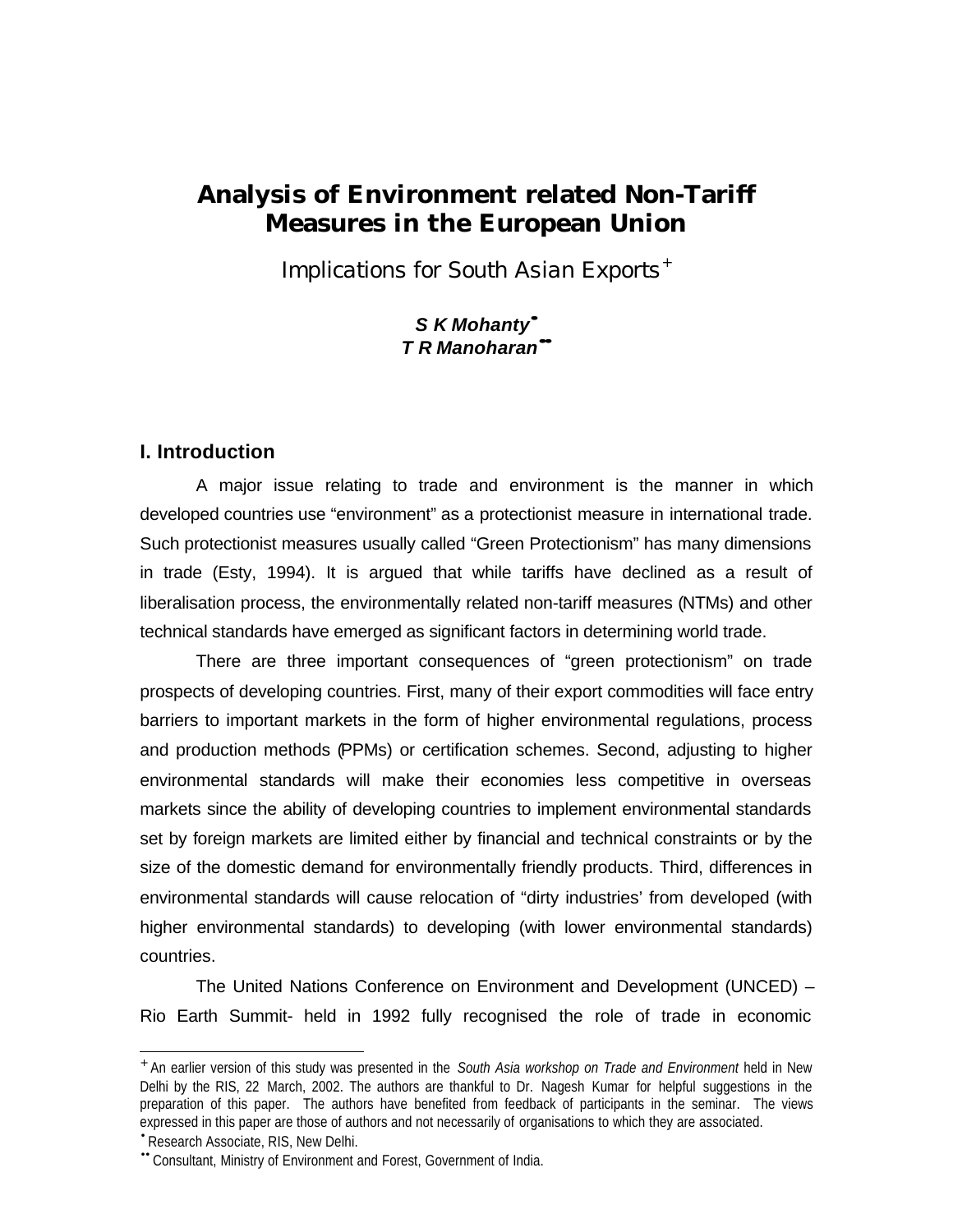# **Analysis of Environment related Non-Tariff Measures in the European Union**

*Implications for South Asian Exports*<sup>+</sup>

# *S K Mohanty· T R Manoharan··*

### **I. Introduction**

A major issue relating to trade and environment is the manner in which developed countries use "environment" as a protectionist measure in international trade. Such protectionist measures usually called "Green Protectionism" has many dimensions in trade (Esty, 1994). It is argued that while tariffs have declined as a result of liberalisation process, the environmentally related non-tariff measures (NTMs) and other technical standards have emerged as significant factors in determining world trade.

There are three important consequences of "green protectionism" on trade prospects of developing countries. First, many of their export commodities will face entry barriers to important markets in the form of higher environmental regulations, process and production methods (PPMs) or certification schemes. Second, adjusting to higher environmental standards will make their economies less competitive in overseas markets since the ability of developing countries to implement environmental standards set by foreign markets are limited either by financial and technical constraints or by the size of the domestic demand for environmentally friendly products. Third, differences in environmental standards will cause relocation of "dirty industries' from developed (with higher environmental standards) to developing (with lower environmental standards) countries.

The United Nations Conference on Environment and Development (UNCED) – Rio Earth Summit- held in 1992 fully recognised the role of trade in economic

<sup>+</sup> An earlier version of this study was presented in the *South Asia workshop on Trade and Environment* held in New Delhi by the RIS, 22 March, 2002. The authors are thankful to Dr. Nagesh Kumar for helpful suggestions in the preparation of this paper. The authors have benefited from feedback of participants in the seminar. The views expressed in this paper are those of authors and not necessarily of organisations to which they are associated.

<sup>•</sup> Research Associate, RIS, New Delhi.

<sup>••</sup> Consultant, Ministry of Environment and Forest, Government of India.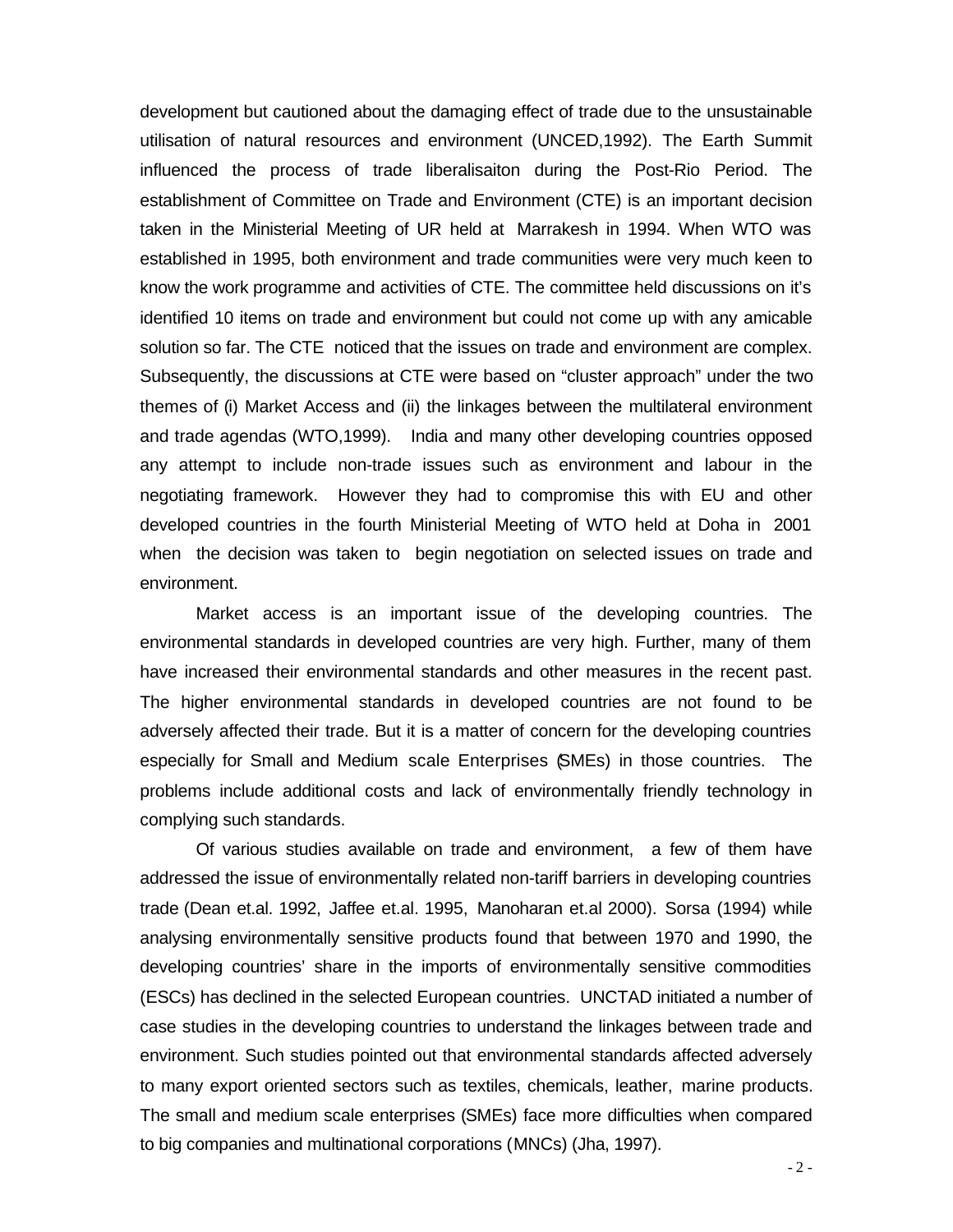development but cautioned about the damaging effect of trade due to the unsustainable utilisation of natural resources and environment (UNCED,1992). The Earth Summit influenced the process of trade liberalisaiton during the Post-Rio Period. The establishment of Committee on Trade and Environment (CTE) is an important decision taken in the Ministerial Meeting of UR held at Marrakesh in 1994. When WTO was established in 1995, both environment and trade communities were very much keen to know the work programme and activities of CTE. The committee held discussions on it's identified 10 items on trade and environment but could not come up with any amicable solution so far. The CTE noticed that the issues on trade and environment are complex. Subsequently, the discussions at CTE were based on "cluster approach" under the two themes of (i) Market Access and (ii) the linkages between the multilateral environment and trade agendas (WTO,1999). India and many other developing countries opposed any attempt to include non-trade issues such as environment and labour in the negotiating framework. However they had to compromise this with EU and other developed countries in the fourth Ministerial Meeting of WTO held at Doha in 2001 when the decision was taken to begin negotiation on selected issues on trade and environment.

Market access is an important issue of the developing countries. The environmental standards in developed countries are very high. Further, many of them have increased their environmental standards and other measures in the recent past. The higher environmental standards in developed countries are not found to be adversely affected their trade. But it is a matter of concern for the developing countries especially for Small and Medium scale Enterprises (SMEs) in those countries. The problems include additional costs and lack of environmentally friendly technology in complying such standards.

Of various studies available on trade and environment, a few of them have addressed the issue of environmentally related non-tariff barriers in developing countries trade (Dean et.al. 1992, Jaffee et.al. 1995, Manoharan et.al 2000). Sorsa (1994) while analysing environmentally sensitive products found that between 1970 and 1990, the developing countries' share in the imports of environmentally sensitive commodities (ESCs) has declined in the selected European countries. UNCTAD initiated a number of case studies in the developing countries to understand the linkages between trade and environment. Such studies pointed out that environmental standards affected adversely to many export oriented sectors such as textiles, chemicals, leather, marine products. The small and medium scale enterprises (SMEs) face more difficulties when compared to big companies and multinational corporations (MNCs) (Jha, 1997).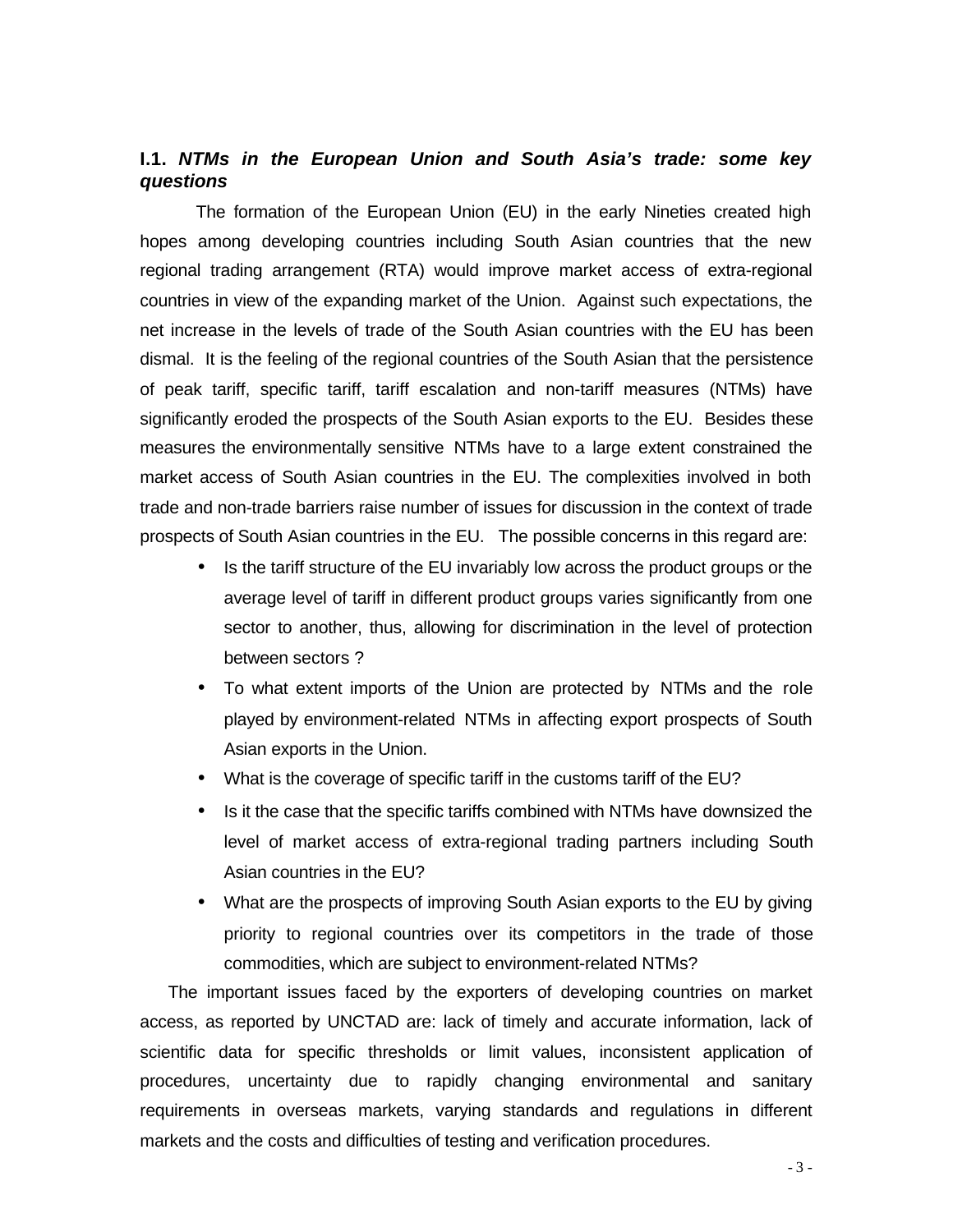# **I.1.** *NTMs in the European Union and South Asia's trade: some key questions*

The formation of the European Union (EU) in the early Nineties created high hopes among developing countries including South Asian countries that the new regional trading arrangement (RTA) would improve market access of extra-regional countries in view of the expanding market of the Union. Against such expectations, the net increase in the levels of trade of the South Asian countries with the EU has been dismal. It is the feeling of the regional countries of the South Asian that the persistence of peak tariff, specific tariff, tariff escalation and non-tariff measures (NTMs) have significantly eroded the prospects of the South Asian exports to the EU. Besides these measures the environmentally sensitive NTMs have to a large extent constrained the market access of South Asian countries in the EU. The complexities involved in both trade and non-trade barriers raise number of issues for discussion in the context of trade prospects of South Asian countries in the EU. The possible concerns in this regard are:

- Is the tariff structure of the EU invariably low across the product groups or the average level of tariff in different product groups varies significantly from one sector to another, thus, allowing for discrimination in the level of protection between sectors ?
- To what extent imports of the Union are protected by NTMs and the role played by environment-related NTMs in affecting export prospects of South Asian exports in the Union.
- What is the coverage of specific tariff in the customs tariff of the EU?
- Is it the case that the specific tariffs combined with NTMs have downsized the level of market access of extra-regional trading partners including South Asian countries in the EU?
- What are the prospects of improving South Asian exports to the EU by giving priority to regional countries over its competitors in the trade of those commodities, which are subject to environment-related NTMs?

The important issues faced by the exporters of developing countries on market access, as reported by UNCTAD are: lack of timely and accurate information, lack of scientific data for specific thresholds or limit values, inconsistent application of procedures, uncertainty due to rapidly changing environmental and sanitary requirements in overseas markets, varying standards and regulations in different markets and the costs and difficulties of testing and verification procedures.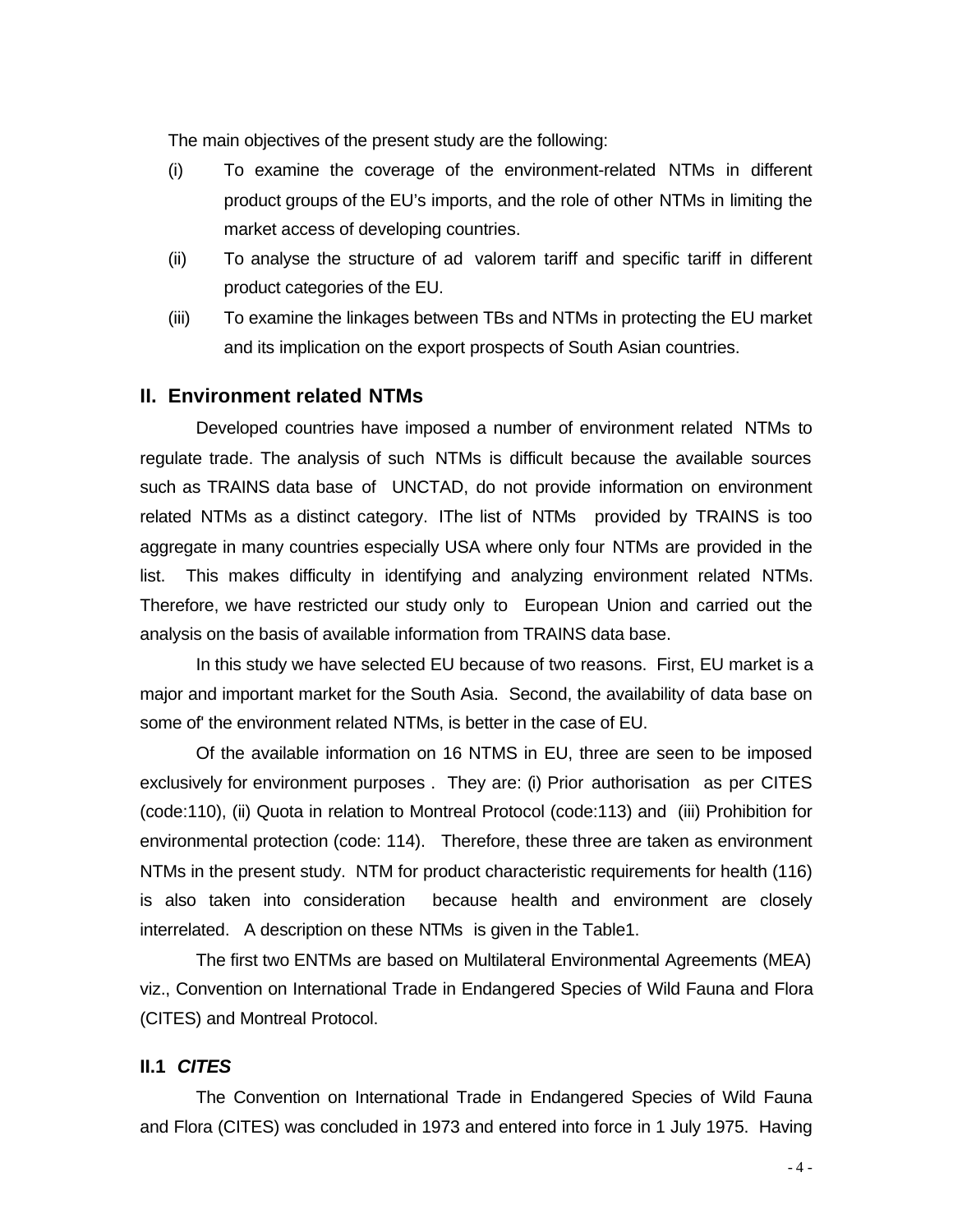The main objectives of the present study are the following:

- (i) To examine the coverage of the environment-related NTMs in different product groups of the EU's imports, and the role of other NTMs in limiting the market access of developing countries.
- (ii) To analyse the structure of ad valorem tariff and specific tariff in different product categories of the EU.
- (iii) To examine the linkages between TBs and NTMs in protecting the EU market and its implication on the export prospects of South Asian countries.

#### **II. Environment related NTMs**

Developed countries have imposed a number of environment related NTMs to regulate trade. The analysis of such NTMs is difficult because the available sources such as TRAINS data base of UNCTAD, do not provide information on environment related NTMs as a distinct category. IThe list of NTMs provided by TRAINS is too aggregate in many countries especially USA where only four NTMs are provided in the list. This makes difficulty in identifying and analyzing environment related NTMs. Therefore, we have restricted our study only to European Union and carried out the analysis on the basis of available information from TRAINS data base.

In this study we have selected EU because of two reasons. First, EU market is a major and important market for the South Asia. Second, the availability of data base on some of' the environment related NTMs, is better in the case of EU.

Of the available information on 16 NTMS in EU, three are seen to be imposed exclusively for environment purposes . They are: (i) Prior authorisation as per CITES (code:110), (ii) Quota in relation to Montreal Protocol (code:113) and (iii) Prohibition for environmental protection (code: 114). Therefore, these three are taken as environment NTMs in the present study. NTM for product characteristic requirements for health (116) is also taken into consideration because health and environment are closely interrelated. A description on these NTMs is given in the Table1.

The first two ENTMs are based on Multilateral Environmental Agreements (MEA) viz., Convention on International Trade in Endangered Species of Wild Fauna and Flora (CITES) and Montreal Protocol.

#### **II.1** *CITES*

The Convention on International Trade in Endangered Species of Wild Fauna and Flora (CITES) was concluded in 1973 and entered into force in 1 July 1975. Having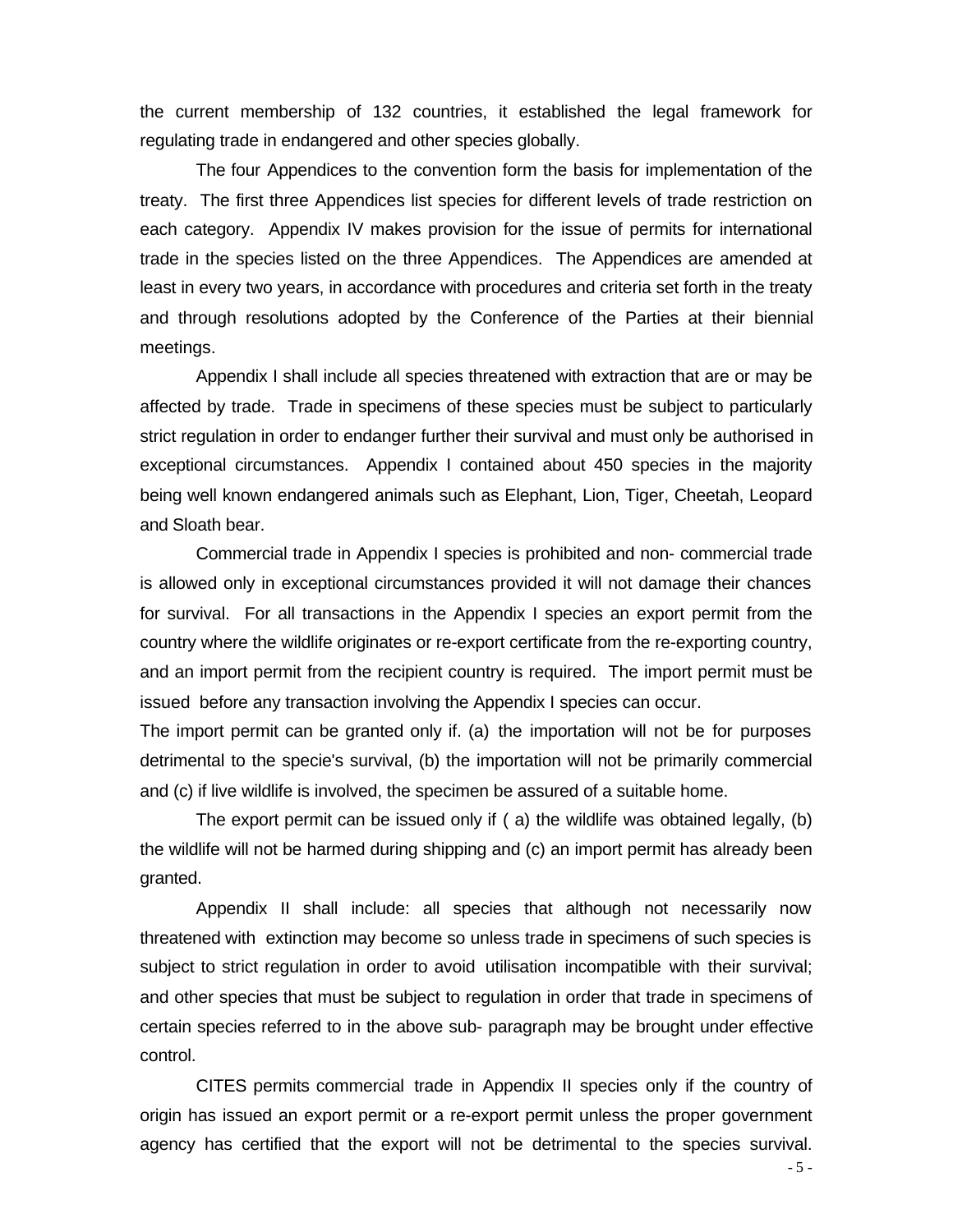the current membership of 132 countries, it established the legal framework for regulating trade in endangered and other species globally.

The four Appendices to the convention form the basis for implementation of the treaty. The first three Appendices list species for different levels of trade restriction on each category. Appendix IV makes provision for the issue of permits for international trade in the species listed on the three Appendices. The Appendices are amended at least in every two years, in accordance with procedures and criteria set forth in the treaty and through resolutions adopted by the Conference of the Parties at their biennial meetings.

Appendix I shall include all species threatened with extraction that are or may be affected by trade. Trade in specimens of these species must be subject to particularly strict regulation in order to endanger further their survival and must only be authorised in exceptional circumstances. Appendix I contained about 450 species in the majority being well known endangered animals such as Elephant, Lion, Tiger, Cheetah, Leopard and Sloath bear.

Commercial trade in Appendix I species is prohibited and non- commercial trade is allowed only in exceptional circumstances provided it will not damage their chances for survival. For all transactions in the Appendix I species an export permit from the country where the wildlife originates or re-export certificate from the re-exporting country, and an import permit from the recipient country is required. The import permit must be issued before any transaction involving the Appendix I species can occur.

The import permit can be granted only if. (a) the importation will not be for purposes detrimental to the specie's survival, (b) the importation will not be primarily commercial and (c) if live wildlife is involved, the specimen be assured of a suitable home.

The export permit can be issued only if ( a) the wildlife was obtained legally, (b) the wildlife will not be harmed during shipping and (c) an import permit has already been granted.

Appendix II shall include: all species that although not necessarily now threatened with extinction may become so unless trade in specimens of such species is subject to strict regulation in order to avoid utilisation incompatible with their survival; and other species that must be subject to regulation in order that trade in specimens of certain species referred to in the above sub- paragraph may be brought under effective control.

CITES permits commercial trade in Appendix II species only if the country of origin has issued an export permit or a re-export permit unless the proper government agency has certified that the export will not be detrimental to the species survival.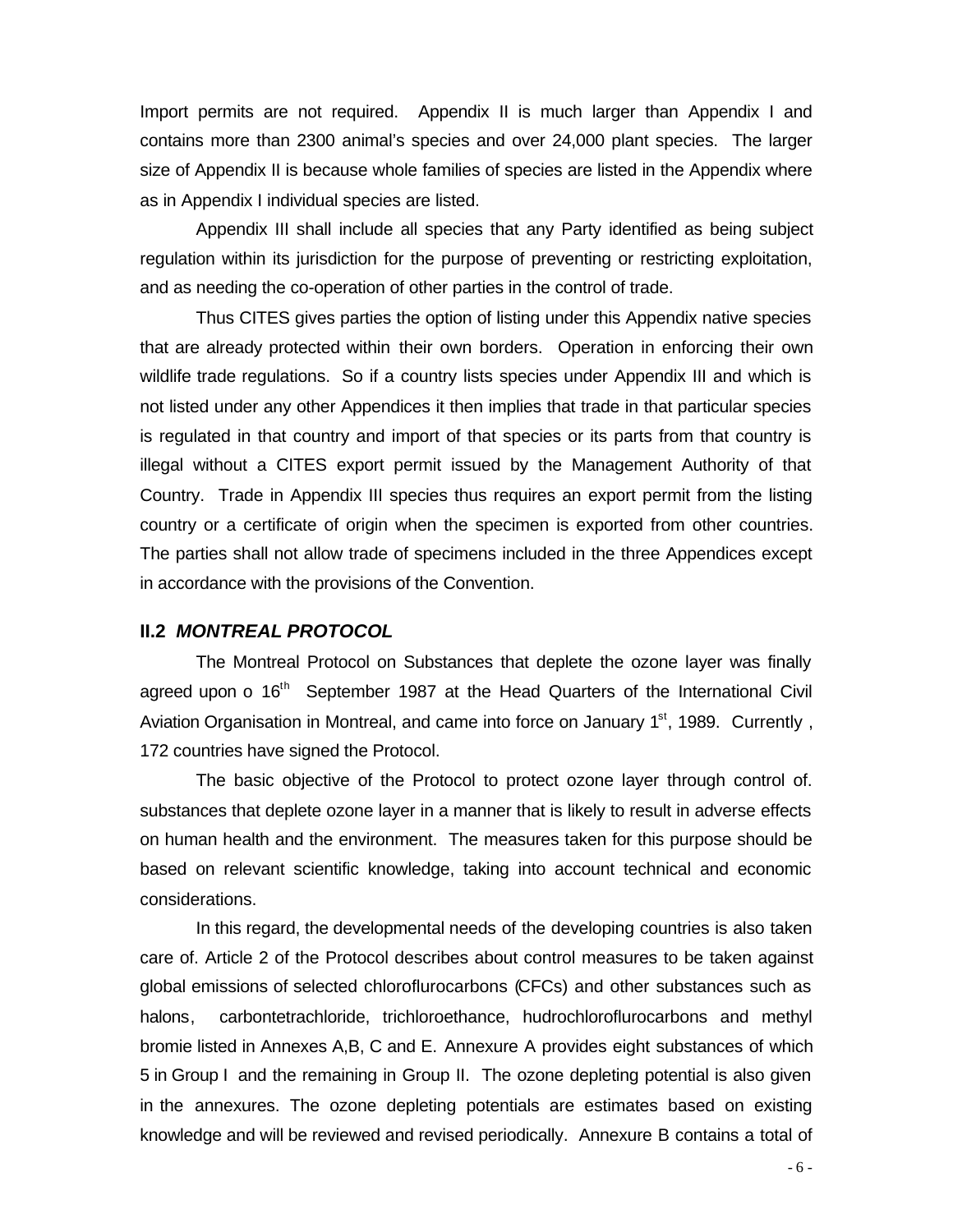Import permits are not required. Appendix II is much larger than Appendix I and contains more than 2300 animal's species and over 24,000 plant species. The larger size of Appendix II is because whole families of species are listed in the Appendix where as in Appendix I individual species are listed.

Appendix III shall include all species that any Party identified as being subject regulation within its jurisdiction for the purpose of preventing or restricting exploitation, and as needing the co-operation of other parties in the control of trade.

Thus CITES gives parties the option of listing under this Appendix native species that are already protected within their own borders. Operation in enforcing their own wildlife trade regulations. So if a country lists species under Appendix III and which is not listed under any other Appendices it then implies that trade in that particular species is regulated in that country and import of that species or its parts from that country is illegal without a CITES export permit issued by the Management Authority of that Country. Trade in Appendix III species thus requires an export permit from the listing country or a certificate of origin when the specimen is exported from other countries. The parties shall not allow trade of specimens included in the three Appendices except in accordance with the provisions of the Convention.

#### **II.2** *MONTREAL PROTOCOL*

The Montreal Protocol on Substances that deplete the ozone layer was finally agreed upon o  $16<sup>th</sup>$  September 1987 at the Head Quarters of the International Civil Aviation Organisation in Montreal, and came into force on January  $1<sup>st</sup>$ , 1989. Currently, 172 countries have signed the Protocol.

The basic objective of the Protocol to protect ozone layer through control of. substances that deplete ozone layer in a manner that is likely to result in adverse effects on human health and the environment. The measures taken for this purpose should be based on relevant scientific knowledge, taking into account technical and economic considerations.

In this regard, the developmental needs of the developing countries is also taken care of. Article 2 of the Protocol describes about control measures to be taken against global emissions of selected chloroflurocarbons (CFCs) and other substances such as halons, carbontetrachloride, trichloroethance, hudrochloroflurocarbons and methyl bromie listed in Annexes A,B, C and E. Annexure A provides eight substances of which 5 in Group I and the remaining in Group II. The ozone depleting potential is also given in the annexures. The ozone depleting potentials are estimates based on existing knowledge and will be reviewed and revised periodically. Annexure B contains a total of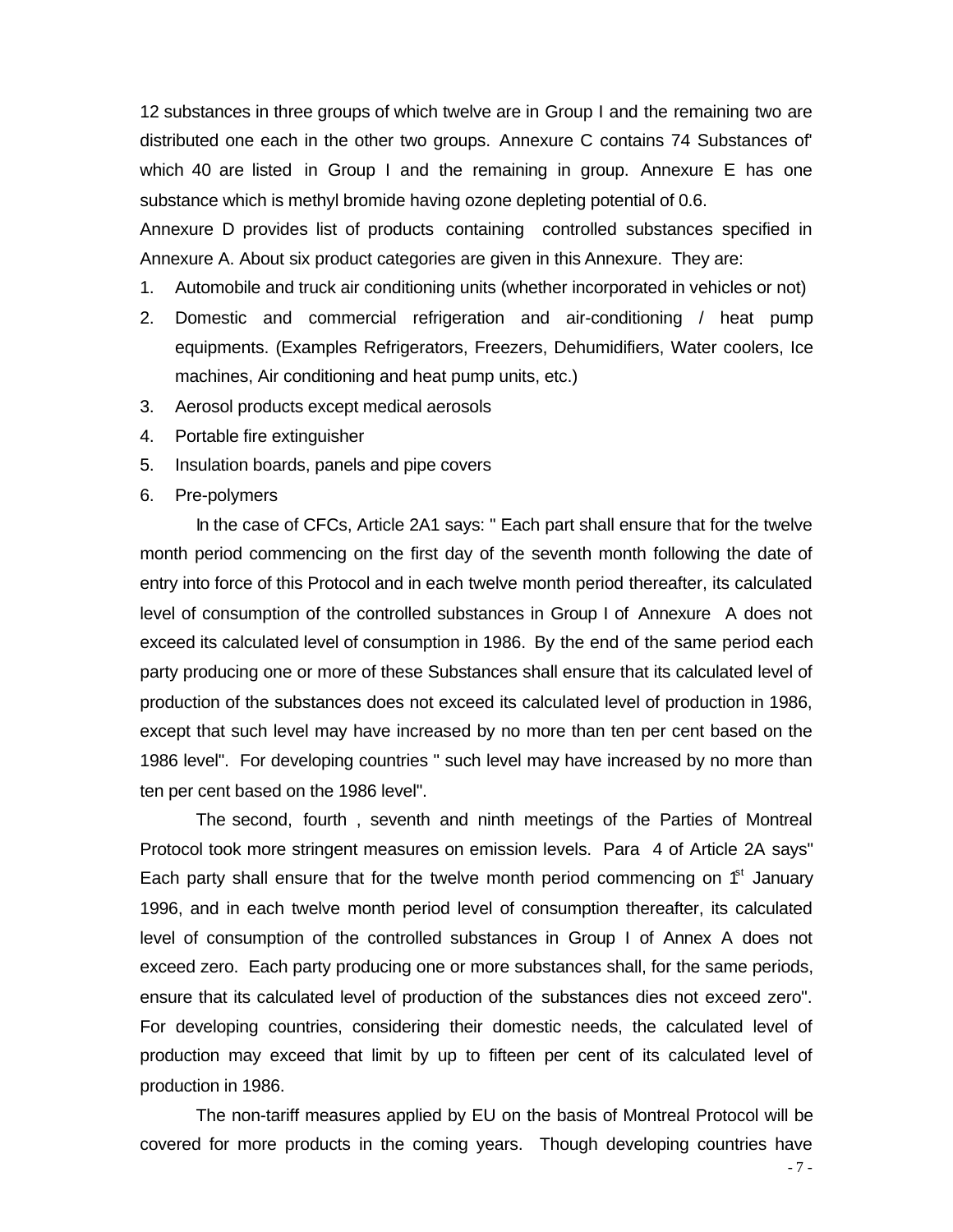12 substances in three groups of which twelve are in Group I and the remaining two are distributed one each in the other two groups. Annexure C contains 74 Substances of' which 40 are listed in Group I and the remaining in group. Annexure E has one substance which is methyl bromide having ozone depleting potential of 0.6.

Annexure D provides list of products containing controlled substances specified in Annexure A. About six product categories are given in this Annexure. They are:

- 1. Automobile and truck air conditioning units (whether incorporated in vehicles or not)
- 2. Domestic and commercial refrigeration and air-conditioning / heat pump equipments. (Examples Refrigerators, Freezers, Dehumidifiers, Water coolers, Ice machines, Air conditioning and heat pump units, etc.)
- 3. Aerosol products except medical aerosols
- 4. Portable fire extinguisher
- 5. Insulation boards, panels and pipe covers
- 6. Pre-polymers

In the case of CFCs, Article 2A1 says: " Each part shall ensure that for the twelve month period commencing on the first day of the seventh month following the date of entry into force of this Protocol and in each twelve month period thereafter, its calculated level of consumption of the controlled substances in Group I of Annexure A does not exceed its calculated level of consumption in 1986. By the end of the same period each party producing one or more of these Substances shall ensure that its calculated level of production of the substances does not exceed its calculated level of production in 1986, except that such level may have increased by no more than ten per cent based on the 1986 level". For developing countries " such level may have increased by no more than ten per cent based on the 1986 level".

The second, fourth , seventh and ninth meetings of the Parties of Montreal Protocol took more stringent measures on emission levels. Para 4 of Article 2A says" Each party shall ensure that for the twelve month period commencing on  $f<sup>st</sup>$  January 1996, and in each twelve month period level of consumption thereafter, its calculated level of consumption of the controlled substances in Group I of Annex A does not exceed zero. Each party producing one or more substances shall, for the same periods, ensure that its calculated level of production of the substances dies not exceed zero". For developing countries, considering their domestic needs, the calculated level of production may exceed that limit by up to fifteen per cent of its calculated level of production in 1986.

The non-tariff measures applied by EU on the basis of Montreal Protocol will be covered for more products in the coming years. Though developing countries have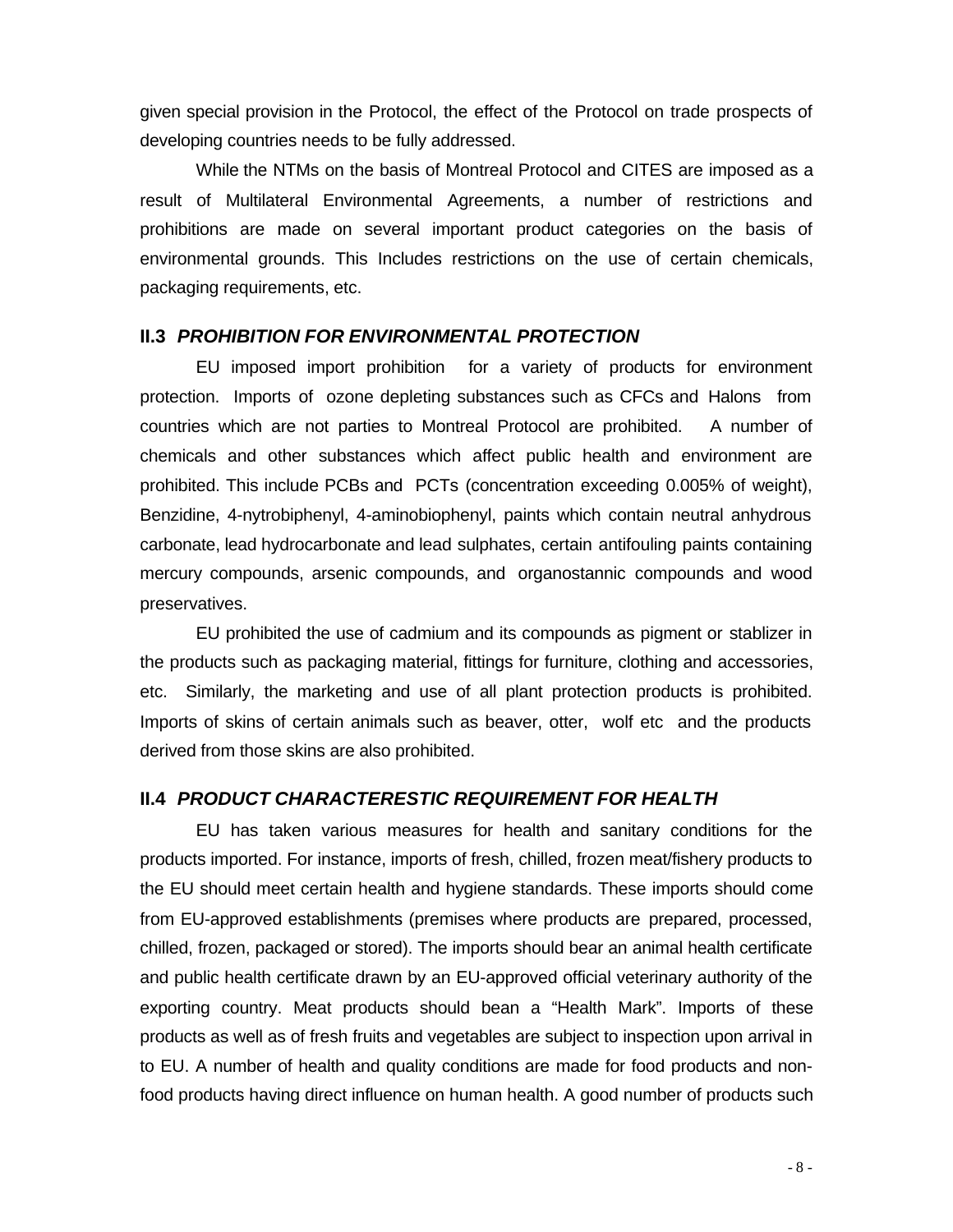given special provision in the Protocol, the effect of the Protocol on trade prospects of developing countries needs to be fully addressed.

While the NTMs on the basis of Montreal Protocol and CITES are imposed as a result of Multilateral Environmental Agreements, a number of restrictions and prohibitions are made on several important product categories on the basis of environmental grounds. This Includes restrictions on the use of certain chemicals, packaging requirements, etc.

#### **II.3** *PROHIBITION FOR ENVIRONMENTAL PROTECTION*

EU imposed import prohibition for a variety of products for environment protection. Imports of ozone depleting substances such as CFCs and Halons from countries which are not parties to Montreal Protocol are prohibited. A number of chemicals and other substances which affect public health and environment are prohibited. This include PCBs and PCTs (concentration exceeding 0.005% of weight), Benzidine, 4-nytrobiphenyl, 4-aminobiophenyl, paints which contain neutral anhydrous carbonate, lead hydrocarbonate and lead sulphates, certain antifouling paints containing mercury compounds, arsenic compounds, and organostannic compounds and wood preservatives.

EU prohibited the use of cadmium and its compounds as pigment or stablizer in the products such as packaging material, fittings for furniture, clothing and accessories, etc. Similarly, the marketing and use of all plant protection products is prohibited. Imports of skins of certain animals such as beaver, otter, wolf etc and the products derived from those skins are also prohibited.

#### **II.4** *PRODUCT CHARACTERESTIC REQUIREMENT FOR HEALTH*

EU has taken various measures for health and sanitary conditions for the products imported. For instance, imports of fresh, chilled, frozen meat/fishery products to the EU should meet certain health and hygiene standards. These imports should come from EU-approved establishments (premises where products are prepared, processed, chilled, frozen, packaged or stored). The imports should bear an animal health certificate and public health certificate drawn by an EU-approved official veterinary authority of the exporting country. Meat products should bean a "Health Mark". Imports of these products as well as of fresh fruits and vegetables are subject to inspection upon arrival in to EU. A number of health and quality conditions are made for food products and nonfood products having direct influence on human health. A good number of products such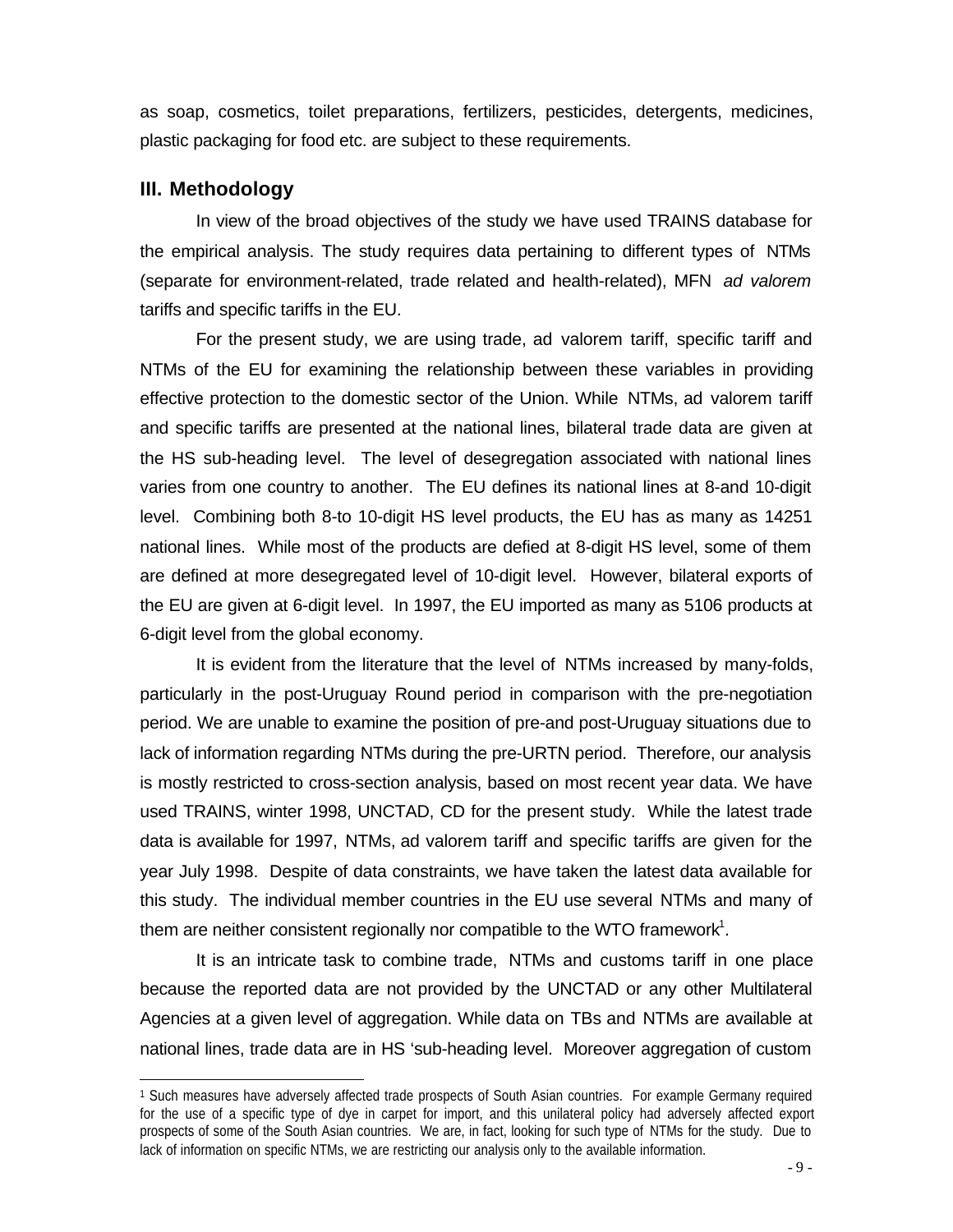as soap, cosmetics, toilet preparations, fertilizers, pesticides, detergents, medicines, plastic packaging for food etc. are subject to these requirements.

## **III. Methodology**

l

In view of the broad objectives of the study we have used TRAINS database for the empirical analysis. The study requires data pertaining to different types of NTMs (separate for environment-related, trade related and health-related), MFN *ad valorem* tariffs and specific tariffs in the EU.

For the present study, we are using trade, ad valorem tariff, specific tariff and NTMs of the EU for examining the relationship between these variables in providing effective protection to the domestic sector of the Union. While NTMs, ad valorem tariff and specific tariffs are presented at the national lines, bilateral trade data are given at the HS sub-heading level. The level of desegregation associated with national lines varies from one country to another. The EU defines its national lines at 8-and 10-digit level. Combining both 8-to 10-digit HS level products, the EU has as many as 14251 national lines. While most of the products are defied at 8-digit HS level, some of them are defined at more desegregated level of 10-digit level. However, bilateral exports of the EU are given at 6-digit level. In 1997, the EU imported as many as 5106 products at 6-digit level from the global economy.

It is evident from the literature that the level of NTMs increased by many-folds, particularly in the post-Uruguay Round period in comparison with the pre-negotiation period. We are unable to examine the position of pre-and post-Uruguay situations due to lack of information regarding NTMs during the pre-URTN period. Therefore, our analysis is mostly restricted to cross-section analysis, based on most recent year data. We have used TRAINS, winter 1998, UNCTAD, CD for the present study. While the latest trade data is available for 1997, NTMs, ad valorem tariff and specific tariffs are given for the year July 1998. Despite of data constraints, we have taken the latest data available for this study. The individual member countries in the EU use several NTMs and many of them are neither consistent regionally nor compatible to the WTO framework<sup>1</sup>.

It is an intricate task to combine trade, NTMs and customs tariff in one place because the reported data are not provided by the UNCTAD or any other Multilateral Agencies at a given level of aggregation. While data on TBs and NTMs are available at national lines, trade data are in HS 'sub-heading level. Moreover aggregation of custom

<sup>1</sup> Such measures have adversely affected trade prospects of South Asian countries. For example Germany required for the use of a specific type of dye in carpet for import, and this unilateral policy had adversely affected export prospects of some of the South Asian countries. We are, in fact, looking for such type of NTMs for the study. Due to lack of information on specific NTMs, we are restricting our analysis only to the available information.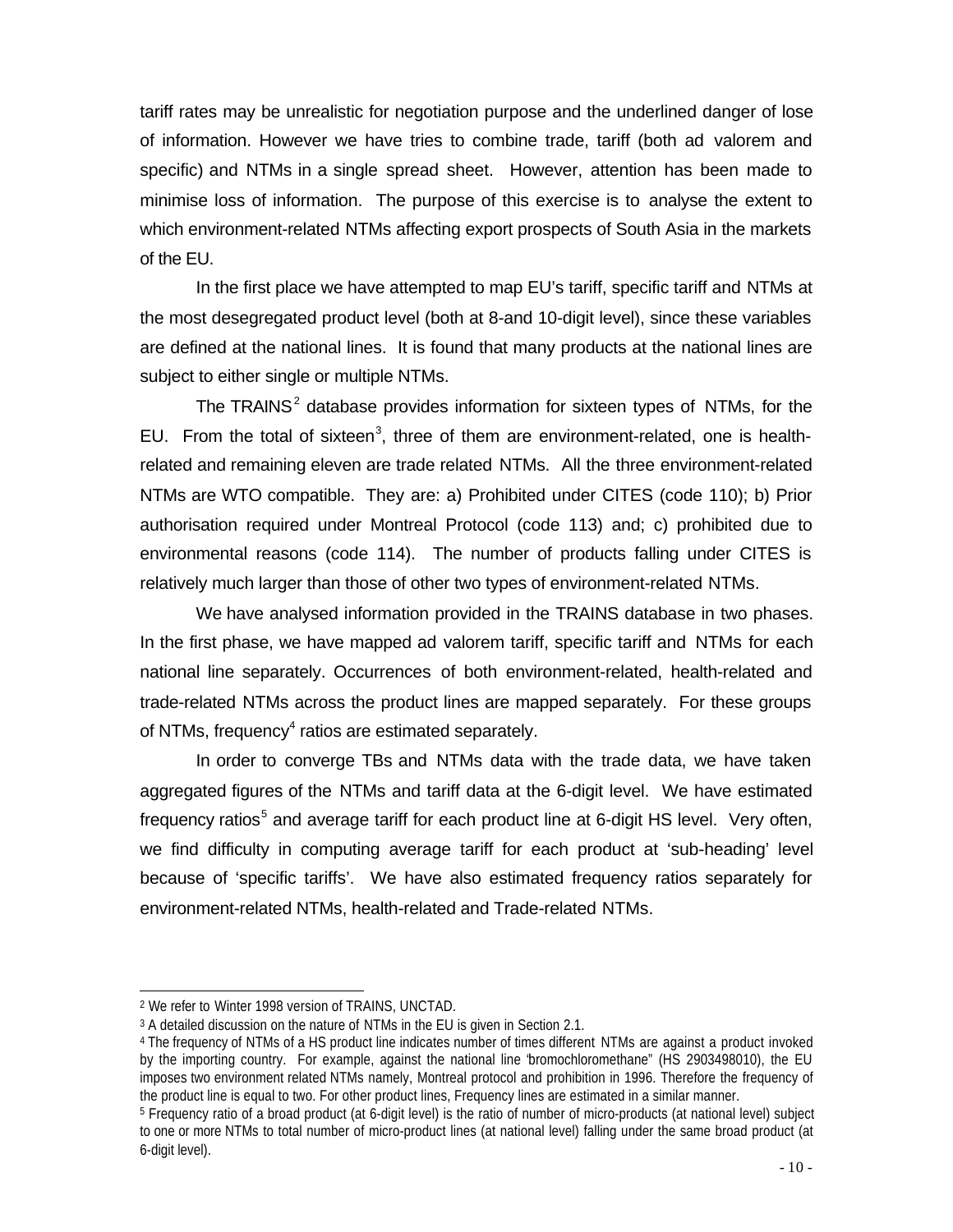tariff rates may be unrealistic for negotiation purpose and the underlined danger of lose of information. However we have tries to combine trade, tariff (both ad valorem and specific) and NTMs in a single spread sheet. However, attention has been made to minimise loss of information. The purpose of this exercise is to analyse the extent to which environment-related NTMs affecting export prospects of South Asia in the markets of the EU.

In the first place we have attempted to map EU's tariff, specific tariff and NTMs at the most desegregated product level (both at 8-and 10-digit level), since these variables are defined at the national lines. It is found that many products at the national lines are subject to either single or multiple NTMs.

The TRAINS<sup>2</sup> database provides information for sixteen types of NTMs, for the EU. From the total of sixteen<sup>3</sup>, three of them are environment-related, one is healthrelated and remaining eleven are trade related NTMs. All the three environment-related NTMs are WTO compatible. They are: a) Prohibited under CITES (code 110); b) Prior authorisation required under Montreal Protocol (code 113) and; c) prohibited due to environmental reasons (code 114). The number of products falling under CITES is relatively much larger than those of other two types of environment-related NTMs.

We have analysed information provided in the TRAINS database in two phases. In the first phase, we have mapped ad valorem tariff, specific tariff and NTMs for each national line separately. Occurrences of both environment-related, health-related and trade-related NTMs across the product lines are mapped separately. For these groups of NTMs, frequency $4$  ratios are estimated separately.

In order to converge TBs and NTMs data with the trade data, we have taken aggregated figures of the NTMs and tariff data at the 6-digit level. We have estimated frequency ratios<sup>5</sup> and average tariff for each product line at 6-digit HS level. Very often, we find difficulty in computing average tariff for each product at 'sub-heading' level because of 'specific tariffs'. We have also estimated frequency ratios separately for environment-related NTMs, health-related and Trade-related NTMs.

<sup>2</sup> We refer to Winter 1998 version of TRAINS, UNCTAD.

<sup>3</sup> A detailed discussion on the nature of NTMs in the EU is given in Section 2.1.

<sup>4</sup> The frequency of NTMs of a HS product line indicates number of times different NTMs are against a product invoked by the importing country. For example, against the national line "bromochloromethane" (HS 2903498010), the EU imposes two environment related NTMs namely, Montreal protocol and prohibition in 1996. Therefore the frequency of the product line is equal to two. For other product lines, Frequency lines are estimated in a similar manner.

<sup>5</sup> Frequency ratio of a broad product (at 6-digit level) is the ratio of number of micro-products (at national level) subject to one or more NTMs to total number of micro-product lines (at national level) falling under the same broad product (at 6-digit level).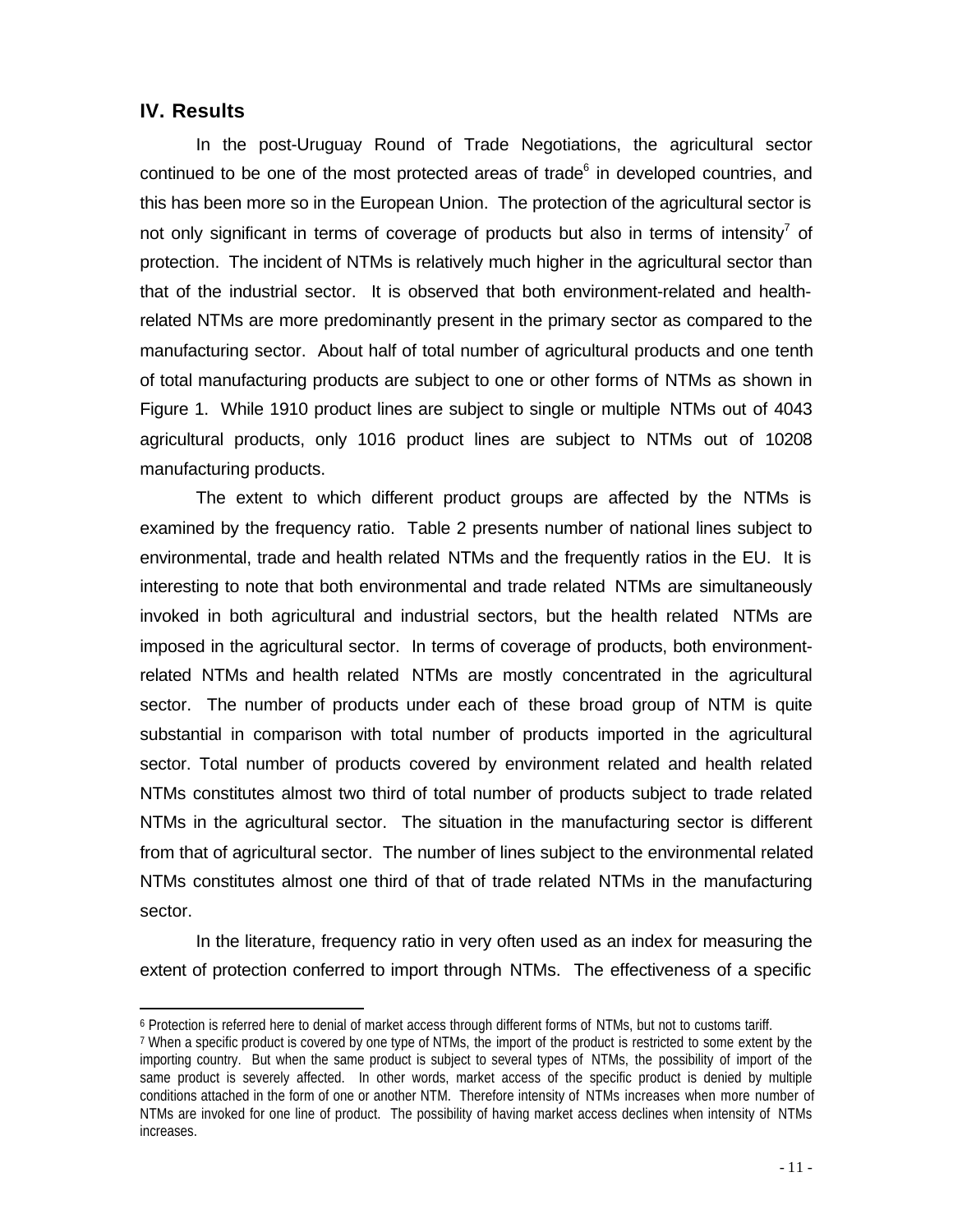# **IV. Results**

l

In the post-Uruguay Round of Trade Negotiations, the agricultural sector continued to be one of the most protected areas of trade $6$  in developed countries, and this has been more so in the European Union. The protection of the agricultural sector is not only significant in terms of coverage of products but also in terms of intensity<sup>7</sup> of protection. The incident of NTMs is relatively much higher in the agricultural sector than that of the industrial sector. It is observed that both environment-related and healthrelated NTMs are more predominantly present in the primary sector as compared to the manufacturing sector. About half of total number of agricultural products and one tenth of total manufacturing products are subject to one or other forms of NTMs as shown in Figure 1. While 1910 product lines are subject to single or multiple NTMs out of 4043 agricultural products, only 1016 product lines are subject to NTMs out of 10208 manufacturing products.

The extent to which different product groups are affected by the NTMs is examined by the frequency ratio. Table 2 presents number of national lines subject to environmental, trade and health related NTMs and the frequently ratios in the EU. It is interesting to note that both environmental and trade related NTMs are simultaneously invoked in both agricultural and industrial sectors, but the health related NTMs are imposed in the agricultural sector. In terms of coverage of products, both environmentrelated NTMs and health related NTMs are mostly concentrated in the agricultural sector. The number of products under each of these broad group of NTM is quite substantial in comparison with total number of products imported in the agricultural sector. Total number of products covered by environment related and health related NTMs constitutes almost two third of total number of products subject to trade related NTMs in the agricultural sector. The situation in the manufacturing sector is different from that of agricultural sector. The number of lines subject to the environmental related NTMs constitutes almost one third of that of trade related NTMs in the manufacturing sector.

In the literature, frequency ratio in very often used as an index for measuring the extent of protection conferred to import through NTMs. The effectiveness of a specific

<sup>6</sup> Protection is referred here to denial of market access through different forms of NTMs, but not to customs tariff.

<sup>7</sup> When a specific product is covered by one type of NTMs, the import of the product is restricted to some extent by the importing country. But when the same product is subject to several types of NTMs, the possibility of import of the same product is severely affected. In other words, market access of the specific product is denied by multiple conditions attached in the form of one or another NTM. Therefore intensity of NTMs increases when more number of NTMs are invoked for one line of product. The possibility of having market access declines when intensity of NTMs increases.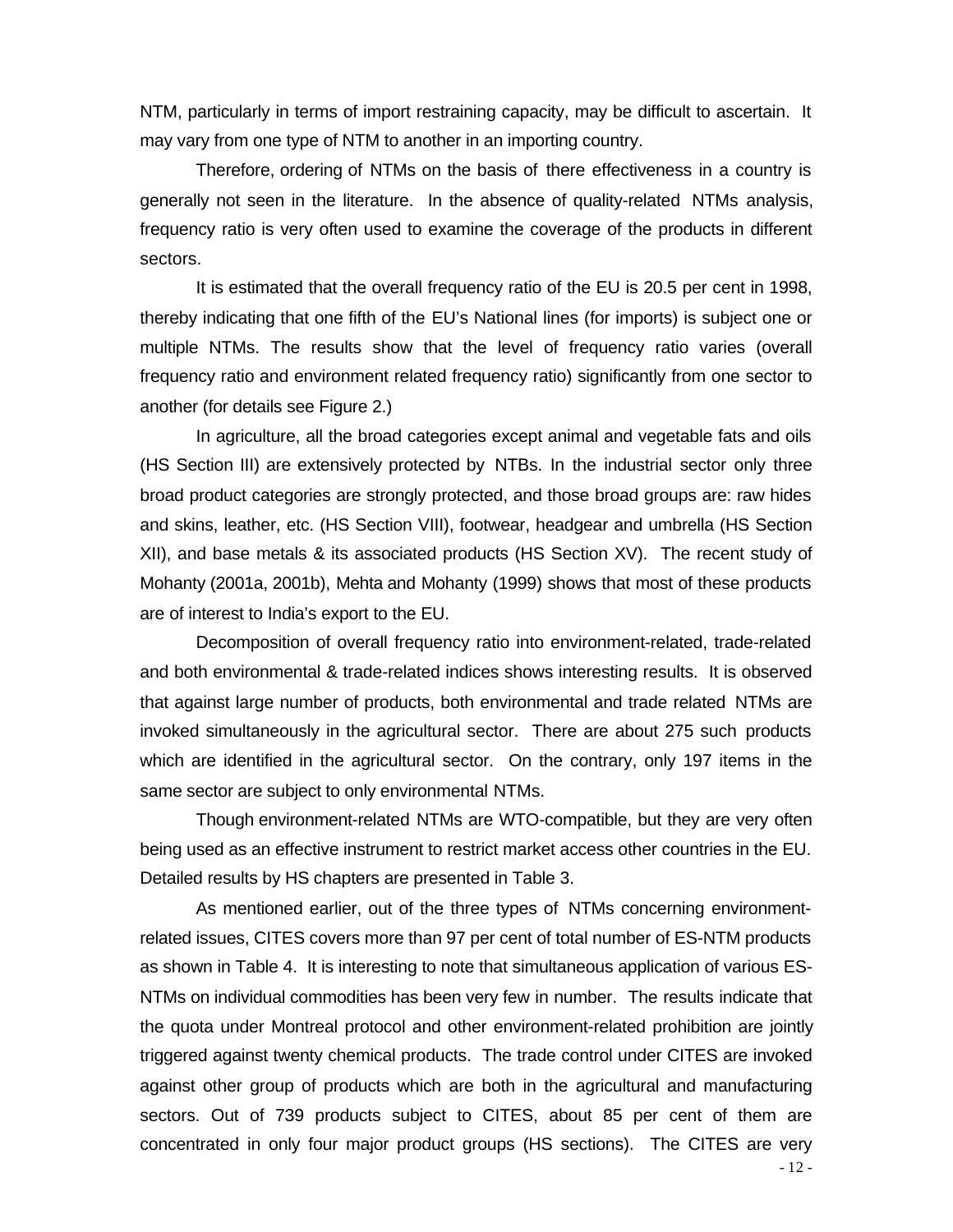NTM, particularly in terms of import restraining capacity, may be difficult to ascertain. It may vary from one type of NTM to another in an importing country.

Therefore, ordering of NTMs on the basis of there effectiveness in a country is generally not seen in the literature. In the absence of quality-related NTMs analysis, frequency ratio is very often used to examine the coverage of the products in different sectors.

It is estimated that the overall frequency ratio of the EU is 20.5 per cent in 1998, thereby indicating that one fifth of the EU's National lines (for imports) is subject one or multiple NTMs. The results show that the level of frequency ratio varies (overall frequency ratio and environment related frequency ratio) significantly from one sector to another (for details see Figure 2.)

In agriculture, all the broad categories except animal and vegetable fats and oils (HS Section III) are extensively protected by NTBs. In the industrial sector only three broad product categories are strongly protected, and those broad groups are: raw hides and skins, leather, etc. (HS Section VIII), footwear, headgear and umbrella (HS Section XII), and base metals & its associated products (HS Section XV). The recent study of Mohanty (2001a, 2001b), Mehta and Mohanty (1999) shows that most of these products are of interest to India's export to the EU.

Decomposition of overall frequency ratio into environment-related, trade-related and both environmental & trade-related indices shows interesting results. It is observed that against large number of products, both environmental and trade related NTMs are invoked simultaneously in the agricultural sector. There are about 275 such products which are identified in the agricultural sector. On the contrary, only 197 items in the same sector are subject to only environmental NTMs.

Though environment-related NTMs are WTO-compatible, but they are very often being used as an effective instrument to restrict market access other countries in the EU. Detailed results by HS chapters are presented in Table 3.

As mentioned earlier, out of the three types of NTMs concerning environmentrelated issues, CITES covers more than 97 per cent of total number of ES-NTM products as shown in Table 4. It is interesting to note that simultaneous application of various ES-NTMs on individual commodities has been very few in number. The results indicate that the quota under Montreal protocol and other environment-related prohibition are jointly triggered against twenty chemical products. The trade control under CITES are invoked against other group of products which are both in the agricultural and manufacturing sectors. Out of 739 products subject to CITES, about 85 per cent of them are concentrated in only four major product groups (HS sections). The CITES are very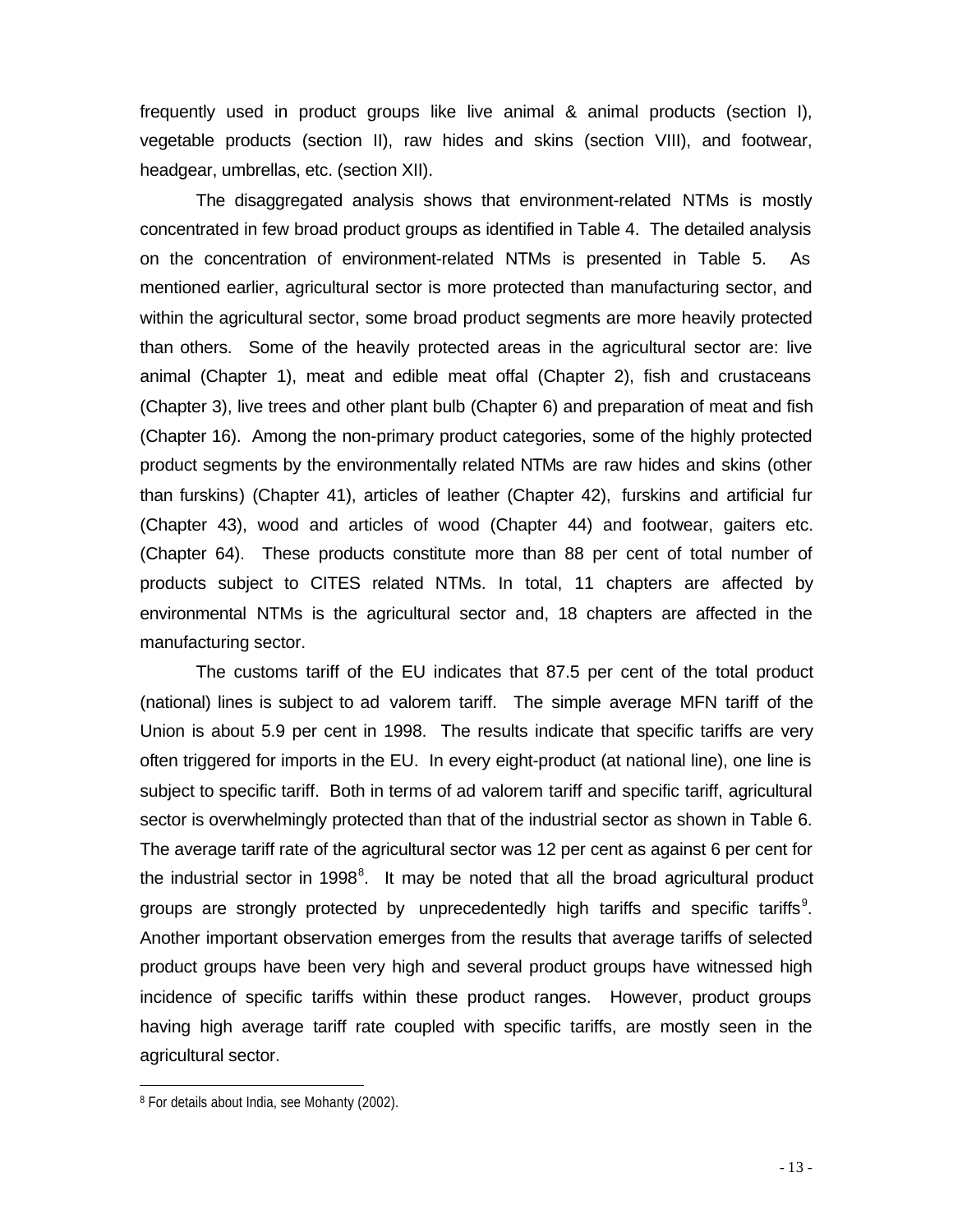frequently used in product groups like live animal & animal products (section I), vegetable products (section II), raw hides and skins (section VIII), and footwear, headgear, umbrellas, etc. (section XII).

The disaggregated analysis shows that environment-related NTMs is mostly concentrated in few broad product groups as identified in Table 4. The detailed analysis on the concentration of environment-related NTMs is presented in Table 5. As mentioned earlier, agricultural sector is more protected than manufacturing sector, and within the agricultural sector, some broad product segments are more heavily protected than others. Some of the heavily protected areas in the agricultural sector are: live animal (Chapter 1), meat and edible meat offal (Chapter 2), fish and crustaceans (Chapter 3), live trees and other plant bulb (Chapter 6) and preparation of meat and fish (Chapter 16). Among the non-primary product categories, some of the highly protected product segments by the environmentally related NTMs are raw hides and skins (other than furskins) (Chapter 41), articles of leather (Chapter 42), furskins and artificial fur (Chapter 43), wood and articles of wood (Chapter 44) and footwear, gaiters etc. (Chapter 64). These products constitute more than 88 per cent of total number of products subject to CITES related NTMs. In total, 11 chapters are affected by environmental NTMs is the agricultural sector and, 18 chapters are affected in the manufacturing sector.

The customs tariff of the EU indicates that 87.5 per cent of the total product (national) lines is subject to ad valorem tariff. The simple average MFN tariff of the Union is about 5.9 per cent in 1998. The results indicate that specific tariffs are very often triggered for imports in the EU. In every eight-product (at national line), one line is subject to specific tariff. Both in terms of ad valorem tariff and specific tariff, agricultural sector is overwhelmingly protected than that of the industrial sector as shown in Table 6. The average tariff rate of the agricultural sector was 12 per cent as against 6 per cent for the industrial sector in 1998<sup>8</sup>. It may be noted that all the broad agricultural product groups are strongly protected by unprecedentedly high tariffs and specific tariffs<sup>9</sup>. Another important observation emerges from the results that average tariffs of selected product groups have been very high and several product groups have witnessed high incidence of specific tariffs within these product ranges. However, product groups having high average tariff rate coupled with specific tariffs, are mostly seen in the agricultural sector.

<sup>8</sup> For details about India, see Mohanty (2002).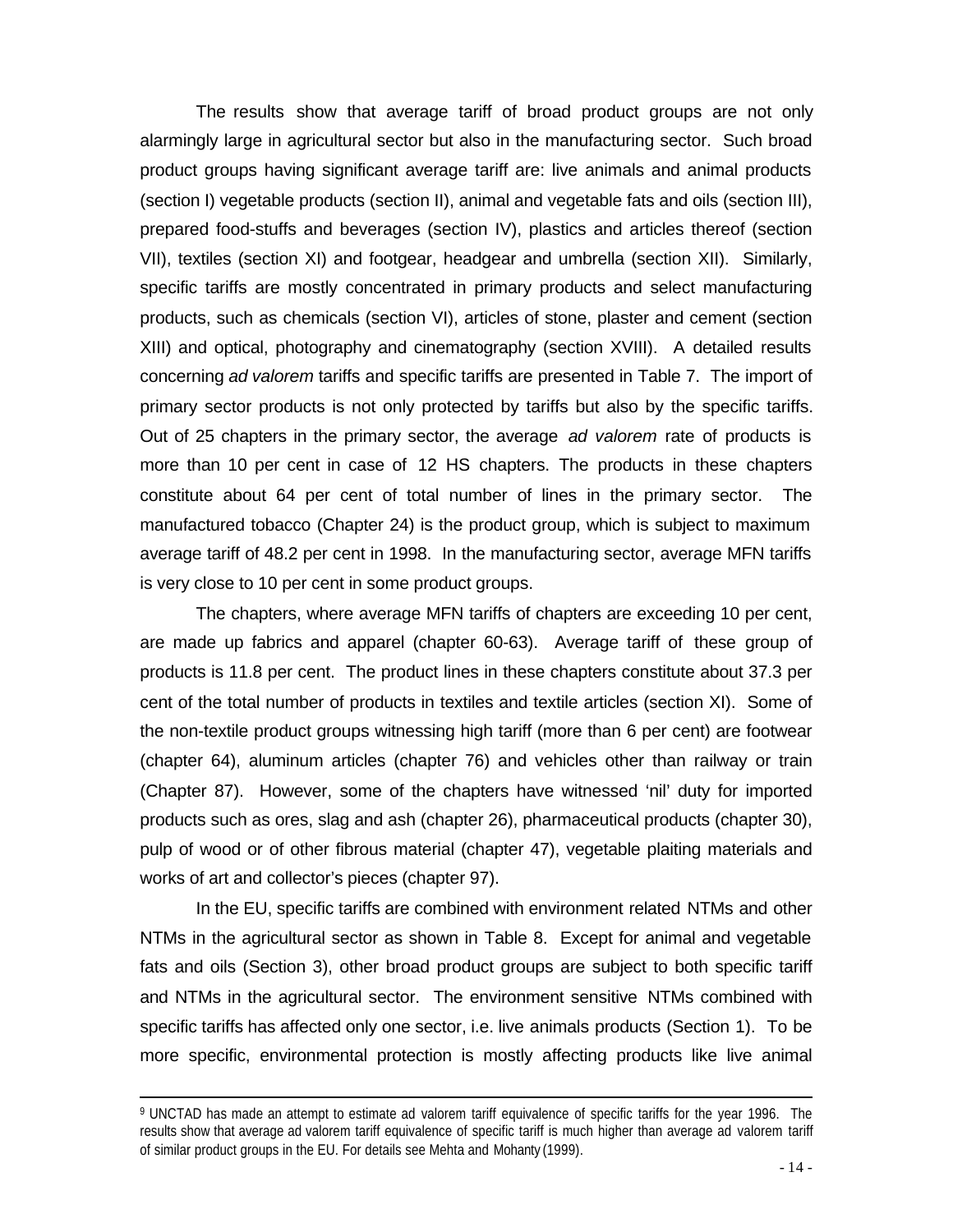The results show that average tariff of broad product groups are not only alarmingly large in agricultural sector but also in the manufacturing sector. Such broad product groups having significant average tariff are: live animals and animal products (section I) vegetable products (section II), animal and vegetable fats and oils (section III), prepared food-stuffs and beverages (section IV), plastics and articles thereof (section VII), textiles (section XI) and footgear, headgear and umbrella (section XII). Similarly, specific tariffs are mostly concentrated in primary products and select manufacturing products, such as chemicals (section VI), articles of stone, plaster and cement (section XIII) and optical, photography and cinematography (section XVIII). A detailed results concerning *ad valorem* tariffs and specific tariffs are presented in Table 7. The import of primary sector products is not only protected by tariffs but also by the specific tariffs. Out of 25 chapters in the primary sector, the average *ad valorem* rate of products is more than 10 per cent in case of 12 HS chapters. The products in these chapters constitute about 64 per cent of total number of lines in the primary sector. The manufactured tobacco (Chapter 24) is the product group, which is subject to maximum average tariff of 48.2 per cent in 1998. In the manufacturing sector, average MFN tariffs is very close to 10 per cent in some product groups.

The chapters, where average MFN tariffs of chapters are exceeding 10 per cent, are made up fabrics and apparel (chapter 60-63). Average tariff of these group of products is 11.8 per cent. The product lines in these chapters constitute about 37.3 per cent of the total number of products in textiles and textile articles (section XI). Some of the non-textile product groups witnessing high tariff (more than 6 per cent) are footwear (chapter 64), aluminum articles (chapter 76) and vehicles other than railway or train (Chapter 87). However, some of the chapters have witnessed 'nil' duty for imported products such as ores, slag and ash (chapter 26), pharmaceutical products (chapter 30), pulp of wood or of other fibrous material (chapter 47), vegetable plaiting materials and works of art and collector's pieces (chapter 97).

In the EU, specific tariffs are combined with environment related NTMs and other NTMs in the agricultural sector as shown in Table 8. Except for animal and vegetable fats and oils (Section 3), other broad product groups are subject to both specific tariff and NTMs in the agricultural sector. The environment sensitive NTMs combined with specific tariffs has affected only one sector, i.e. live animals products (Section 1). To be more specific, environmental protection is mostly affecting products like live animal

<sup>9</sup> UNCTAD has made an attempt to estimate ad valorem tariff equivalence of specific tariffs for the year 1996. The results show that average ad valorem tariff equivalence of specific tariff is much higher than average ad valorem tariff of similar product groups in the EU. For details see Mehta and Mohanty (1999).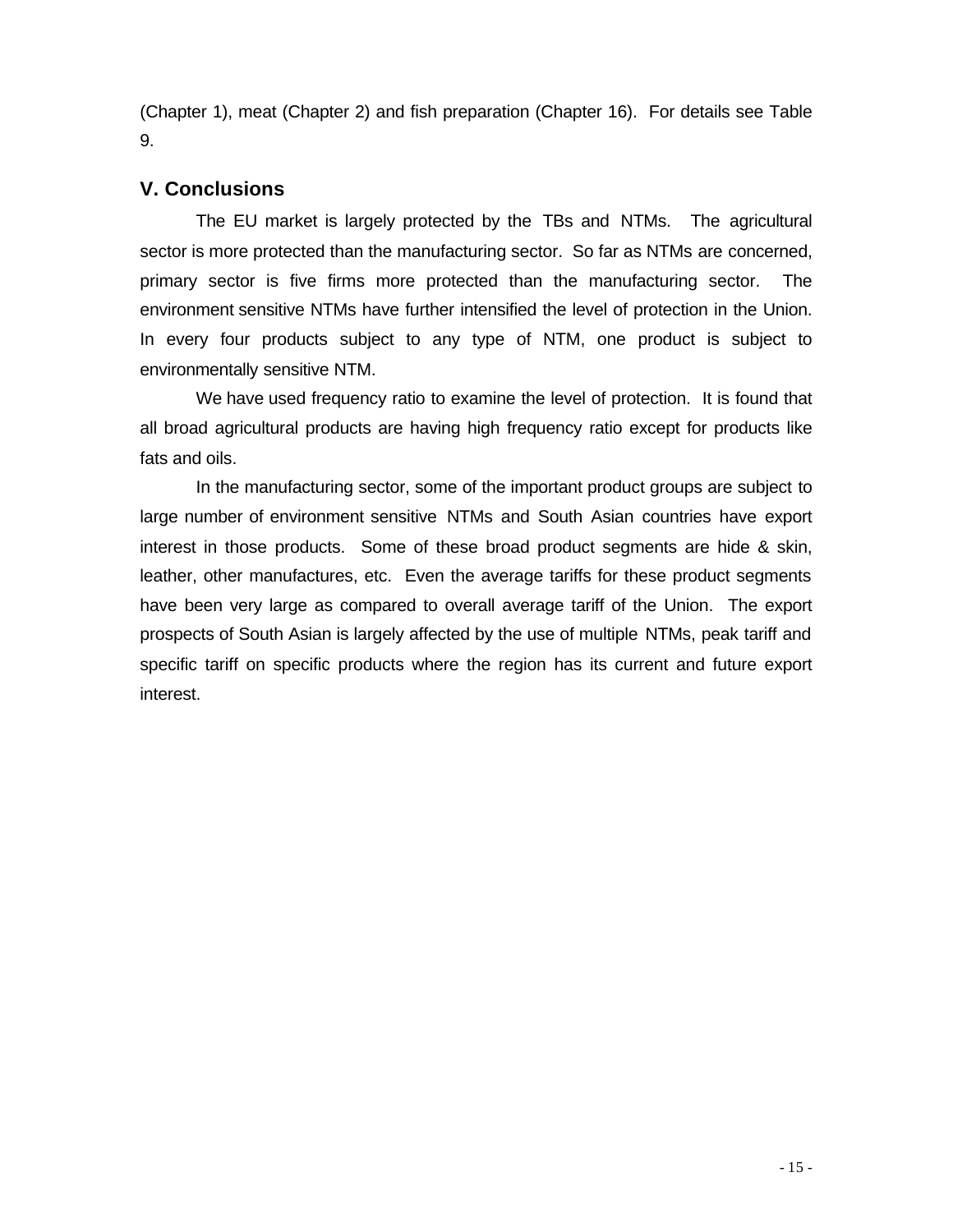(Chapter 1), meat (Chapter 2) and fish preparation (Chapter 16). For details see Table 9.

# **V. Conclusions**

The EU market is largely protected by the TBs and NTMs. The agricultural sector is more protected than the manufacturing sector. So far as NTMs are concerned, primary sector is five firms more protected than the manufacturing sector. The environment sensitive NTMs have further intensified the level of protection in the Union. In every four products subject to any type of NTM, one product is subject to environmentally sensitive NTM.

We have used frequency ratio to examine the level of protection. It is found that all broad agricultural products are having high frequency ratio except for products like fats and oils.

In the manufacturing sector, some of the important product groups are subject to large number of environment sensitive NTMs and South Asian countries have export interest in those products. Some of these broad product segments are hide & skin, leather, other manufactures, etc. Even the average tariffs for these product segments have been very large as compared to overall average tariff of the Union. The export prospects of South Asian is largely affected by the use of multiple NTMs, peak tariff and specific tariff on specific products where the region has its current and future export interest.